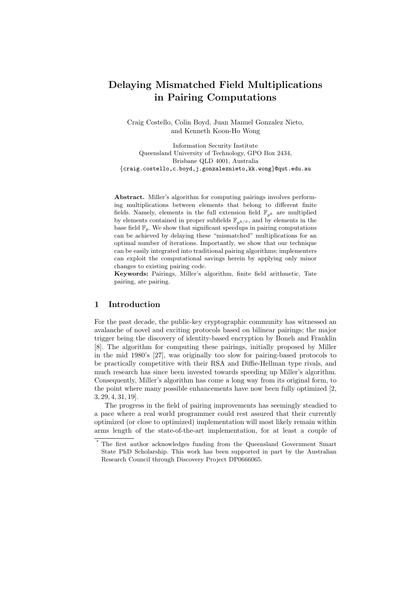# Delaying Mismatched Field Multiplications in Pairing Computations

Craig Costello, Colin Boyd, Juan Manuel Gonzalez Nieto, and Kenneth Koon-Ho Wong

Information Security Institute Queensland University of Technology, GPO Box 2434, Brisbane QLD 4001, Australia {craig.costello,c.boyd,j.gonzaleznieto,kk.wong}@qut.edu.au

Abstract. Miller's algorithm for computing pairings involves performing multiplications between elements that belong to different finite fields. Namely, elements in the full extension field  $\mathbb{F}_{p^k}$  are multiplied by elements contained in proper subfields  $\mathbb{F}_{p^{k}/d}$ , and by elements in the base field  $\mathbb{F}_p$ . We show that significant speedups in pairing computations can be achieved by delaying these "mismatched" multiplications for an optimal number of iterations. Importantly, we show that our technique can be easily integrated into traditional pairing algorithms; implementers can exploit the computational savings herein by applying only minor changes to existing pairing code.

Keywords: Pairings, Miller's algorithm, finite field arithmetic, Tate pairing, ate pairing.

## 1 Introduction

For the past decade, the public-key cryptographic community has witnessed an avalanche of novel and exciting protocols based on bilinear pairings; the major trigger being the discovery of identity-based encryption by Boneh and Franklin [8]. The algorithm for computing these pairings, initially proposed by Miller in the mid 1980's [27], was originally too slow for pairing-based protocols to be practically competitive with their RSA and Diffie-Hellman type rivals, and much research has since been invested towards speeding up Miller's algorithm. Consequently, Miller's algorithm has come a long way from its original form, to the point where many possible enhancements have now been fully optimized [2, 3, 29, 4, 31, 19].

The progress in the field of pairing improvements has seemingly steadied to a pace where a real world programmer could rest assured that their currently optimized (or close to optimized) implementation will most likely remain within arms length of the state-of-the-art implementation, for at least a couple of

The first author acknowledges funding from the Queensland Government Smart State PhD Scholarship. This work has been supported in part by the Australian Research Council through Discovery Project DP0666065.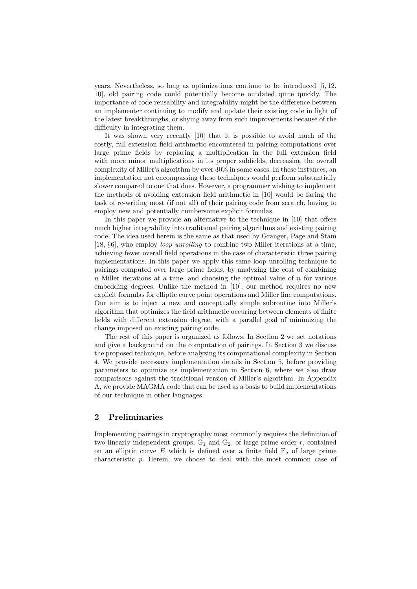years. Nevertheless, so long as optimizations continue to be introduced [5, 12, 10], old pairing code could potentially become outdated quite quickly. The importance of code reusability and integrability might be the difference between an implementer continuing to modify and update their existing code in light of the latest breakthroughs, or shying away from such improvements because of the difficulty in integrating them.

It was shown very recently [10] that it is possible to avoid much of the costly, full extension field arithmetic encountered in pairing computations over large prime fields by replacing a multiplication in the full extension field with more minor multiplications in its proper subfields, decreasing the overall complexity of Miller's algorithm by over 30% in some cases. In these instances, an implementation not encompassing these techniques would perform substantially slower compared to one that does. However, a programmer wishing to implement the methods of avoiding extension field arithmetic in [10] would be facing the task of re-writing most (if not all) of their pairing code from scratch, having to employ new and potentially cumbersome explicit formulas.

In this paper we provide an alternative to the technique in [10] that offers much higher integrability into traditional pairing algorithms and existing pairing code. The idea used herein is the same as that used by Granger, Page and Stam [18, §6], who employ loop unrolling to combine two Miller iterations at a time, achieving fewer overall field operations in the case of characteristic three pairing implementations. In this paper we apply this same loop unrolling technique to pairings computed over large prime fields, by analyzing the cost of combining  $n$  Miller iterations at a time, and choosing the optimal value of  $n$  for various embedding degrees. Unlike the method in [10], our method requires no new explicit formulas for elliptic curve point operations and Miller line computations. Our aim is to inject a new and conceptually simple subroutine into Miller's algorithm that optimizes the field arithmetic occuring between elements of finite fields with different extension degree, with a parallel goal of minimizing the change imposed on existing pairing code.

The rest of this paper is organized as follows. In Section 2 we set notations and give a background on the computation of pairings. In Section 3 we discuss the proposed technique, before analyzing its computational complexity in Section 4. We provide necessary implementation details in Section 5, before providing parameters to optimize its implementation in Section 6, where we also draw comparisons against the traditional version of Miller's algorithm. In Appendix A, we provide MAGMA code that can be used as a basis to build implementations of our technique in other languages.

## 2 Preliminaries

Implementing pairings in cryptography most commonly requires the definition of two linearly independent groups,  $\mathbb{G}_1$  and  $\mathbb{G}_2$ , of large prime order r, contained on an elliptic curve E which is defined over a finite field  $\mathbb{F}_q$  of large prime characteristic p. Herein, we choose to deal with the most common case of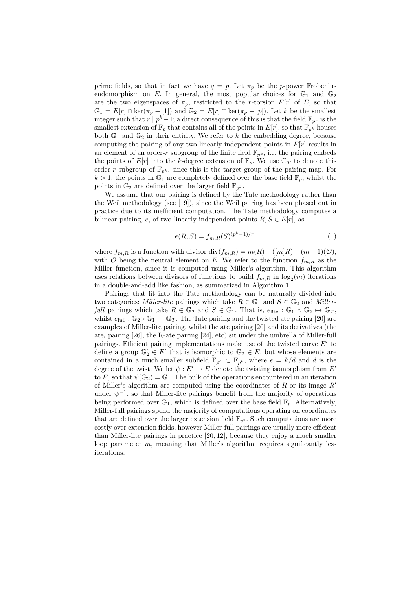prime fields, so that in fact we have  $q = p$ . Let  $\pi_p$  be the p-power Frobenius endomorphism on E. In general, the most popular choices for  $\mathbb{G}_1$  and  $\mathbb{G}_2$ are the two eigenspaces of  $\pi_p$ , restricted to the r-torsion  $E[r]$  of E, so that  $\mathbb{G}_1 = E[r] \cap \text{ker}(\pi_p - [1])$  and  $\mathbb{G}_2 = E[r] \cap \text{ker}(\pi_p - [p])$ . Let k be the smallest integer such that  $r | p^k-1$ ; a direct consequence of this is that the field  $\mathbb{F}_{p^k}$  is the smallest extension of  $\mathbb{F}_p$  that contains all of the points in  $E[r]$ , so that  $\mathbb{F}_{p^k}$  houses both  $\mathbb{G}_1$  and  $\mathbb{G}_2$  in their entirity. We refer to k the embedding degree, because computing the pairing of any two linearly independent points in  $E[r]$  results in an element of an order-r subgroup of the finite field  $\mathbb{F}_{p^k}$ , i.e. the pairing embeds the points of  $E[r]$  into the k-degree extension of  $\mathbb{F}_p$ . We use  $\mathbb{G}_T$  to denote this order-r subgroup of  $\mathbb{F}_{p^k}$ , since this is the target group of the pairing map. For  $k > 1$ , the points in  $\mathbb{G}_1$  are completely defined over the base field  $\mathbb{F}_p$ , whilst the points in  $\mathbb{G}_2$  are defined over the larger field  $\mathbb{F}_{n^k}$ .

We assume that our pairing is defined by the Tate methodology rather than the Weil methodology (see [19]), since the Weil pairing has been phased out in practice due to its inefficient computation. The Tate methodology computes a bilinear pairing, e, of two linearly independent points  $R, S \in E[r]$ , as

$$
e(R, S) = f_{m,R}(S)^{(p^k - 1)/r},
$$
\n(1)

where  $f_{m,R}$  is a function with divisor div $(f_{m,R}) = m(R) - (mR) - (m-1)(O)$ , with O being the neutral element on E. We refer to the function  $f_{m,R}$  as the Miller function, since it is computed using Miller's algorithm. This algorithm uses relations between divisors of functions to build  $f_{m,R}$  in  $\log_2(m)$  iterations in a double-and-add like fashion, as summarized in Algorithm 1.

Pairings that fit into the Tate methodology can be naturally divided into two categories: Miller-lite pairings which take  $R \in \mathbb{G}_1$  and  $S \in \mathbb{G}_2$  and Miller*full* pairings which take  $R \in \mathbb{G}_2$  and  $S \in \mathbb{G}_1$ . That is,  $e_{\text{life}} : \mathbb{G}_1 \times \mathbb{G}_2 \mapsto \mathbb{G}_T$ , whilst  $e_{\text{full}}$ :  $\mathbb{G}_2 \times \mathbb{G}_1 \mapsto \mathbb{G}_T$ . The Tate pairing and the twisted ate pairing [20] are examples of Miller-lite pairing, whilst the ate pairing [20] and its derivatives (the ate<sub>i</sub> pairing [26], the R-ate pairing [24], etc) sit under the umbrella of Miller-full pairings. Efficient pairing implementations make use of the twisted curve  $E'$  to define a group  $\mathbb{G}_2' \in E'$  that is isomorphic to  $\mathbb{G}_2 \in E$ , but whose elements are contained in a much smaller subfield  $\mathbb{F}_{p^e} \subset \mathbb{F}_{p^k}$ , where  $e = k/d$  and d is the degree of the twist. We let  $\psi : E' \to E$  denote the twisting isomorphism from E' to E, so that  $\psi(\mathbb{G}_2) = \mathbb{G}_1$ . The bulk of the operations encountered in an iteration of Miller's algorithm are computed using the coordinates of  $R$  or its image  $R'$ under  $\psi^{-1}$ , so that Miller-lite pairings benefit from the majority of operations being performed over  $\mathbb{G}_1$ , which is defined over the base field  $\mathbb{F}_n$ . Alternatively, Miller-full pairings spend the majority of computations operating on coordinates that are defined over the larger extension field  $\mathbb{F}_{p^e}$ . Such computations are more costly over extension fields, however Miller-full pairings are usually more efficient than Miller-lite pairings in practice [20, 12], because they enjoy a much smaller loop parameter  $m$ , meaning that Miller's algorithm requires significantly less iterations.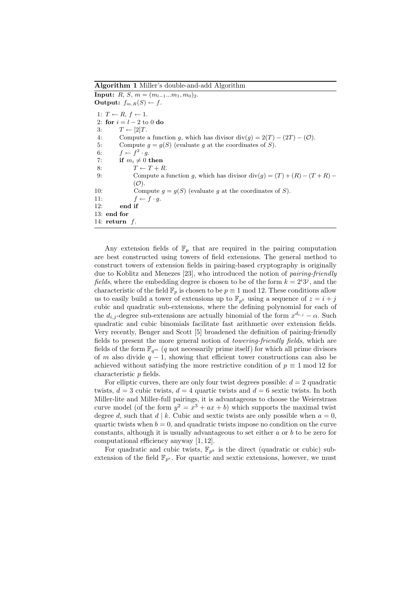Algorithm 1 Miller's double-and-add Algorithm

**Input:**  $R, S, m = (m_{l-1}...m_1, m_0)_2.$ **Output:**  $f_{m,R}(S) \leftarrow f$ . 1:  $T \leftarrow R, f \leftarrow 1.$ 2: for  $i = l - 2$  to 0 do 3:  $T \leftarrow [2]T$ . 4: Compute a function q, which has divisor div(q) =  $2(T) - (2T) - (O)$ . 5: Compute  $g = g(S)$  (evaluate g at the coordinates of S). 6:  $f \leftarrow f^2 \cdot g$ . 7: if  $m_i \neq 0$  then 8:  $T \leftarrow T + R$ . 9: Compute a function g, which has divisor div(g) =  $(T) + (R) - (T + R) (0)$ . 10: Compute  $q = q(S)$  (evaluate q at the coordinates of S). 11:  $f \leftarrow f \cdot g$ . 12: end if 13: end for 14: return f.

Any extension fields of  $\mathbb{F}_p$  that are required in the pairing computation are best constructed using towers of field extensions. The general method to construct towers of extension fields in pairing-based cryptography is originally due to Koblitz and Menezes [23], who introduced the notion of pairing-friendly fields, where the embedding degree is chosen to be of the form  $k = 2^i 3^j$ , and the characteristic of the field  $\mathbb{F}_p$  is chosen to be  $p \equiv 1 \mod 12$ . These conditions allow us to easily build a tower of extensions up to  $\mathbb{F}_{p^k}$  using a sequence of  $z = i + j$ cubic and quadratic sub-extensions, where the defining polynomial for each of the  $d_{i,j}$ -degree sub-extensions are actually binomial of the form  $x^{d_{i,j}} - \alpha$ . Such quadratic and cubic binomials facilitate fast arithmetic over extension fields. Very recently, Benger and Scott [5] broadened the definition of pairing-friendly fields to present the more general notion of towering-friendly fields, which are fields of the form  $\mathbb{F}_{q^m}$  (q not necessarily prime itself) for which all prime divisors of m also divide  $q - 1$ , showing that efficient tower constructions can also be achieved without satisfying the more restrictive condition of  $p \equiv 1 \text{ mod } 12$  for characteristic p fields.

For elliptic curves, there are only four twist degrees possible:  $d = 2$  quadratic twists,  $d = 3$  cubic twists,  $d = 4$  quartic twists and  $d = 6$  sextic twists. In both Miller-lite and Miller-full pairings, it is advantageous to choose the Weierstrass curve model (of the form  $y^2 = x^3 + ax + b$ ) which supports the maximal twist degree d, such that  $d | k$ . Cubic and sextic twists are only possible when  $a = 0$ , quartic twists when  $b = 0$ , and quadratic twists impose no condition on the curve constants, although it is usually advantageous to set either a or b to be zero for computational efficiency anyway [1, 12].

For quadratic and cubic twists,  $\mathbb{F}_{p^k}$  is the direct (quadratic or cubic) subextension of the field  $\mathbb{F}_{p^e}$ . For quartic and sextic extensions, however, we must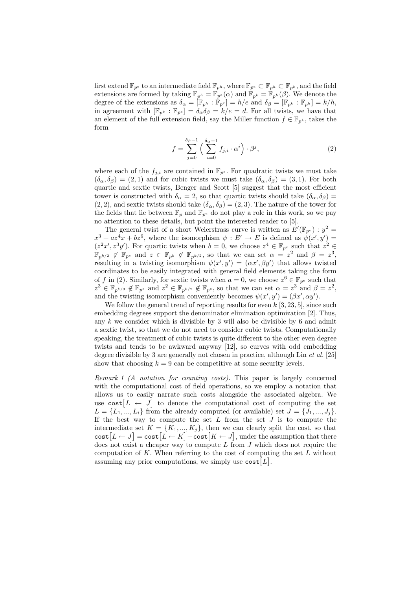first extend  $\mathbb{F}_{p^e}$  to an intermediate field  $\mathbb{F}_{p^h}$ , where  $\mathbb{F}_{p^e} \subset \mathbb{F}_{p^h} \subset \mathbb{F}_{p^k}$ , and the field extensions are formed by taking  $\mathbb{F}_{p^h} = \mathbb{F}_{p^e}(\alpha)$  and  $\mathbb{F}_{p^k} = \mathbb{F}_{p^h}(\beta)$ . We denote the degree of the extensions as  $\delta_{\alpha} = [\mathbb{F}_{p^h} : \mathbb{F}_{p^e}] = h/e$  and  $\delta_{\beta} = [\mathbb{F}_{p^k} : \mathbb{F}_{p^h}] = k/h$ , in agreement with  $[\mathbb{F}_{p^k} : \mathbb{F}_{p^e}] = \delta_{\alpha} \delta_{\beta} = k/e = d$ . For all twists, we have that an element of the full extension field, say the Miller function  $f \in \mathbb{F}_{n^k}$ , takes the form

$$
f = \sum_{j=0}^{\delta_{\beta}-1} \left( \sum_{i=0}^{\delta_{\alpha}-1} f_{j,i} \cdot \alpha^{i} \right) \cdot \beta^{j}, \qquad (2)
$$

where each of the  $f_{j,i}$  are contained in  $\mathbb{F}_{p^e}$ . For quadratic twists we must take  $(\delta_{\alpha}, \delta_{\beta}) = (2, 1)$  and for cubic twists we must take  $(\delta_{\alpha}, \delta_{\beta}) = (3, 1)$ . For both quartic and sextic twists, Benger and Scott [5] suggest that the most efficient tower is constructed with  $\delta_{\alpha} = 2$ , so that quartic twists should take  $(\delta_{\alpha}, \delta_{\beta}) =$  $(2, 2)$ , and sextic twists should take  $(\delta_{\alpha}, \delta_{\beta}) = (2, 3)$ . The nature of the tower for the fields that lie between  $\mathbb{F}_p$  and  $\mathbb{F}_{p^e}$  do not play a role in this work, so we pay no attention to these details, but point the interested reader to [5].

The general twist of a short Weierstrass curve is written as  $E'(\mathbb{F}_{p^e}) : y^2 =$  $x^3 + az^4x + bz^6$ , where the isomorphism  $\psi : E' \to E$  is defined as  $\psi(x', y') =$  $(z^2x', z^3y')$ . For quartic twists when  $b = 0$ , we choose  $z^4 \in \mathbb{F}_{p^e}$  such that  $z^2 \in$  $\mathbb{F}_{p^{k/2}} \not\in \mathbb{F}_{p^e}$  and  $z \in \mathbb{F}_{p^k} \not\in \mathbb{F}_{p^{k/2}}$ , so that we can set  $\alpha = z^2$  and  $\beta = z^3$ , resulting in a twisting isomorphism  $\psi(x', y') = (\alpha x', \beta y')$  that allows twisted coordinates to be easily integrated with general field elements taking the form of f in (2). Similarly, for sextic twists when  $a = 0$ , we choose  $z^6 \in \mathbb{F}_{p^e}$  such that  $z^3 \in \mathbb{F}_{p^{k/3}} \notin \mathbb{F}_{p^e}$  and  $z^2 \in \mathbb{F}_{p^{k/2}} \notin \mathbb{F}_{p^e}$ , so that we can set  $\alpha = z^3$  and  $\beta = z^2$ , and the twisting isomorphism conveniently becomes  $\psi(x', y') = (\beta x', \alpha y')$ .

We follow the general trend of reporting results for even  $k$  [3, 23, 5], since such embedding degrees support the denominator elimination optimization [2]. Thus, any k we consider which is divisible by 3 will also be divisible by 6 and admit a sextic twist, so that we do not need to consider cubic twists. Computationally speaking, the treatment of cubic twists is quite different to the other even degree twists and tends to be awkward anyway [12], so curves with odd embedding degree divisible by 3 are generally not chosen in practice, although Lin et al. [25] show that choosing  $k = 9$  can be competitive at some security levels.

Remark 1 (A notation for counting costs). This paper is largely concerned with the computational cost of field operations, so we employ a notation that allows us to easily narrate such costs alongside the associated algebra. We use  $\cosh[L \leftarrow J]$  to denote the computational cost of computing the set  $L = \{L_1, ..., L_i\}$  from the already computed (or available) set  $J = \{J_1, ..., J_i\}$ . If the best way to compute the set  $L$  from the set  $J$  is to compute the intermediate set  $K = \{K_1, ..., K_j\}$ , then we can clearly split the cost, so that  $\textsf{cost}[L \leftarrow J] = \textsf{cost}[L \leftarrow K] + \textsf{cost}[K \leftarrow J],$  under the assumption that there does not exist a cheaper way to compute  $L$  from  $J$  which does not require the computation of K. When referring to the cost of computing the set  $L$  without assuming any prior computations, we simply use  $\cosh[L]$ .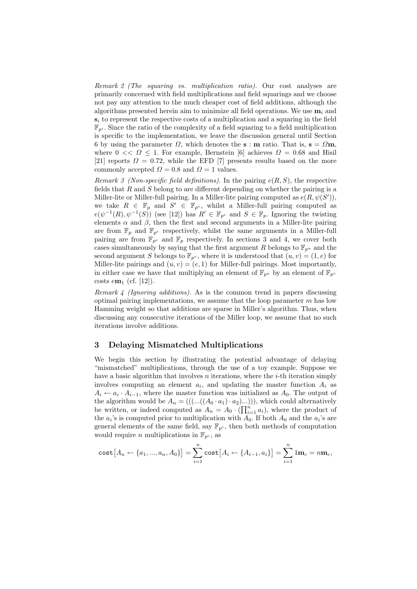Remark 2 (The squaring vs. multiplication ratio). Our cost analyses are primarily concerned with field multiplications and field squarings and we choose not pay any attention to the much cheaper cost of field additions, although the algorithms presented herein aim to minimize all field operations. We use  $\mathbf{m}_i$  and  $s_i$  to represent the respective costs of a multiplication and a squaring in the field  $\mathbb{F}_{p^i}$ . Since the ratio of the complexity of a field squaring to a field multiplication is specific to the implementation, we leave the discussion general until Section 6 by using the parameter  $\Omega$ , which denotes the **s** : **m** ratio. That is, **s** =  $\Omega$ **m**, where  $0 \ll Q \leq 1$ . For example, Bernstein [6] achieves  $\Omega = 0.68$  and Hisil [21] reports  $\Omega = 0.72$ , while the EFD [7] presents results based on the more commonly accepted  $\Omega = 0.8$  and  $\Omega = 1$  values.

Remark 3 (Non-specific field definitions). In the pairing  $e(R, S)$ , the respective fields that  $R$  and  $S$  belong to are different depending on whether the pairing is a Miller-lite or Miller-full pairing. In a Miller-lite pairing computed as  $e(R, \psi(S'))$ , we take  $R \in \mathbb{F}_p$  and  $S' \in \mathbb{F}_{p^e}$ , whilst a Miller-full pairing computed as  $e(\psi^{-1}(R), \psi^{-1}(S))$  (see [12]) has  $R' \in \mathbb{F}_{p^e}$  and  $S \in \mathbb{F}_p$ . Ignoring the twisting elements  $\alpha$  and  $\beta$ , then the first and second arguments in a Miller-lite pairing are from  $\mathbb{F}_p$  and  $\mathbb{F}_{p^e}$  respectively, whilst the same arguments in a Miller-full pairing are from  $\mathbb{F}_{p^e}$  and  $\mathbb{F}_p$  respectively. In sections 3 and 4, we cover both cases simultaneously by saying that the first argument R belongs to  $\mathbb{F}_{p^u}$  and the second argument S belongs to  $\mathbb{F}_{p^v}$ , where it is understood that  $(u, v) = (1, e)$  for Miller-lite pairings and  $(u, v) = (e, 1)$  for Miller-full pairings. Most importantly, in either case we have that multiplying an element of  $\mathbb{F}_{p^u}$  by an element of  $\mathbb{F}_{p^v}$ costs  $e$ **m**<sub>1</sub> (cf. [12]).

Remark 4 (Ignoring additions). As is the common trend in papers discussing optimal pairing implementations, we assume that the loop parameter  $m$  has low Hamming weight so that additions are sparse in Miller's algorithm. Thus, when discussing any consecutive iterations of the Miller loop, we assume that no such iterations involve additions.

#### 3 Delaying Mismatched Multiplications

We begin this section by illustrating the potential advantage of delaying "mismatched" multiplications, through the use of a toy example. Suppose we have a basic algorithm that involves  $n$  iterations, where the  $i$ -th iteration simply involves computing an element  $a_i$ , and updating the master function  $A_i$  as  $A_i \leftarrow a_i \cdot A_{i-1}$ , where the master function was initialized as  $A_0$ . The output of the algorithm would be  $A_n = (((...(A_0 \cdot a_1) \cdot a_2)...)))$ , which could alternatively be written, or indeed computed as  $A_n = A_0 \cdot (\prod_{i=1}^{n'} a_i)$ , where the product of the  $a_i$ 's is computed prior to multiplication with  $A_0$ . If both  $A_0$  and the  $a_i$ 's are general elements of the same field, say  $\mathbb{F}_{p^c}$ , then both methods of computation would require *n* multiplications in  $\mathbb{F}_{p^c}$ , as

cost
$$
[A_n \leftarrow \{a_1, ..., a_n, A_0\}] = \sum_{i=1}^n \text{cost}[A_i \leftarrow \{A_{i-1}, a_i\}] = \sum_{i=1}^n 1 \mathbf{m}_c = n \mathbf{m}_c,
$$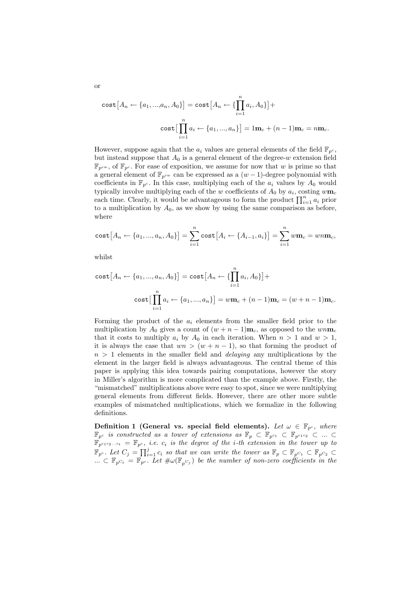cost
$$
[A_n \leftarrow \{a_1, ..., a_n, A_0\}] = \text{cost}[A_n \leftarrow \{\prod_{i=1}^n a_i, A_0\}] +
$$
  
cost $\left[\prod_{i=1}^n a_i \leftarrow \{a_1, ..., a_n\}\right] = 1\mathbf{m}_c + (n-1)\mathbf{m}_c = n\mathbf{m}_c.$ 

However, suppose again that the  $a_i$  values are general elements of the field  $\mathbb{F}_{p^c}$ , but instead suppose that  $A_0$  is a general element of the degree-w extension field  $\mathbb{F}_{n^{cw}}$ , of  $\mathbb{F}_{n^c}$ . For ease of exposition, we assume for now that w is prime so that a general element of  $\mathbb{F}_{p^{cw}}$  can be expressed as a  $(w-1)$ -degree polynomial with coefficients in  $\mathbb{F}_{p^c}$ . In this case, multiplying each of the  $a_i$  values by  $A_0$  would typically involve multiplying each of the w coefficients of  $A_0$  by  $a_i$ , costing  $w\mathbf{m}_c$ each time. Clearly, it would be advantageous to form the product  $\prod_{i=1}^{n} a_i$  prior to a multiplication by  $A_0$ , as we show by using the same comparison as before, where

cost
$$
[A_n \leftarrow \{a_1, ..., a_n, A_0\}] = \sum_{i=1}^n \text{cost}[A_i \leftarrow \{A_{i-1}, a_i\}] = \sum_{i=1}^n w \mathbf{m}_c = w n \mathbf{m}_c,
$$

whilst

cost 
$$
[A_n \leftarrow \{a_1, ..., a_n, A_0\}] = \text{cost}[A_n \leftarrow \{\prod_{i=1}^n a_i, A_0\}] +
$$
  
cost  $\left[\prod_{i=1}^n a_i \leftarrow \{a_1, ..., a_n\}\right] = w\mathbf{m}_c + (n-1)\mathbf{m}_c = (w+n-1)\mathbf{m}_c.$ 

Forming the product of the  $a_i$  elements from the smaller field prior to the multiplication by  $A_0$  gives a count of  $(w + n - 1)$ **m**<sub>c</sub>, as opposed to the wn**m**<sub>c</sub> that it costs to multiply  $a_i$  by  $A_0$  in each iteration. When  $n > 1$  and  $w > 1$ , it is always the case that  $wn > (w + n - 1)$ , so that forming the product of  $n > 1$  elements in the smaller field and *delaying* any multiplications by the element in the larger field is always advantageous. The central theme of this paper is applying this idea towards pairing computations, however the story in Miller's algorithm is more complicated than the example above. Firstly, the "mismatched" multiplications above were easy to spot, since we were multiplying general elements from different fields. However, there are other more subtle examples of mismatched multiplications, which we formalize in the following definitions.

Definition 1 (General vs. special field elements). Let  $\omega \in \mathbb{F}_{p^c}$ , where  $\mathbb{F}_{p^c}$  is constructed as a tower of extensions as  $\mathbb{F}_p \subset \mathbb{F}_{p^{c_1}} \subset \mathbb{F}_{p^{c_1 c_2}} \subset ... \subset$  $\mathbb{F}_{p^{c_1c_2...c_t}} = \mathbb{F}_{p^c}$ , i.e.  $c_i$  is the degree of the i-th extension in the tower up to  $\mathbb{F}_{p^c}$ . Let  $C_j = \prod_{i=1}^j c_i$  so that we can write the tower as  $\mathbb{F}_p \subset \mathbb{F}_{p^{C_1}} \subset \mathbb{F}_{p^{C_2}} \subset$  $\ldots \subset \mathbb{F}_{p^c}$  =  $\mathbb{F}_{p^c}$ . Let  $\#\omega(\mathbb{F}_{p^c})$  be the number of non-zero coefficients in the

or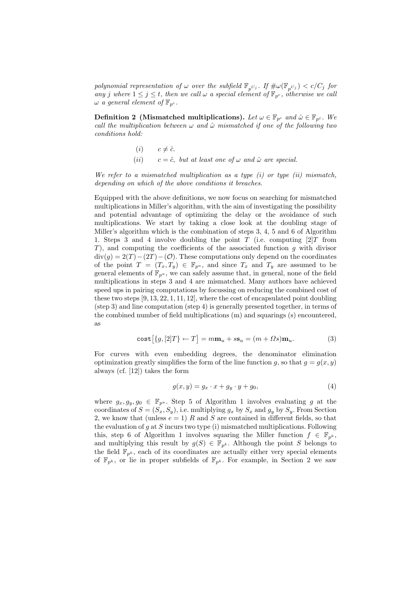polynomial representation of  $\omega$  over the subfield  $\mathbb{F}_{p^{C_j}}$ . If  $\#\omega(\mathbb{F}_{p^{C_j}}) < c/C_j$  for any j where  $1 \leq j \leq t$ , then we call  $\omega$  a special element of  $\mathbb{F}_{p^c}$ , otherwise we call  $\omega$  a general element of  $\mathbb{F}_{p^c}$ .

**Definition 2** (Mismatched multiplications). Let  $\omega \in \mathbb{F}_{p^c}$  and  $\hat{\omega} \in \mathbb{F}_{p^c}$ . We call the multiplication between  $\omega$  and  $\hat{\omega}$  mismatched if one of the following two conditions hold:

> (*i*)  $c \neq \hat{c}$ . (ii)  $c = \hat{c}$ , but at least one of  $\omega$  and  $\hat{\omega}$  are special.

We refer to a mismatched multiplication as a type  $(i)$  or type  $(ii)$  mismatch, depending on which of the above conditions it breaches.

Equipped with the above definitions, we now focus on searching for mismatched multiplications in Miller's algorithm, with the aim of investigating the possibility and potential advantage of optimizing the delay or the avoidance of such multiplications. We start by taking a close look at the doubling stage of Miller's algorithm which is the combination of steps 3, 4, 5 and 6 of Algorithm 1. Steps 3 and 4 involve doubling the point  $T$  (i.e. computing  $[2]T$  from  $T$ ), and computing the coefficients of the associated function  $g$  with divisor  $div(q) = 2(T) - (2T) - (O)$ . These computations only depend on the coordinates of the point  $T = (T_x, T_y) \in \mathbb{F}_{p^u}$ , and since  $T_x$  and  $T_y$  are assumed to be general elements of  $\mathbb{F}_{p^u}$ , we can safely assume that, in general, none of the field multiplications in steps 3 and 4 are mismatched. Many authors have achieved speed ups in pairing computations by focussing on reducing the combined cost of these two steps  $[9, 13, 22, 1, 11, 12]$ , where the cost of encapsulated point doubling (step 3) and line computation (step 4) is generally presented together, in terms of the combined number of field multiplications (m) and squarings (s) encountered, as

$$
\text{cost}[\{g, [2]T\} \leftarrow T] = m\mathbf{m}_u + s\mathbf{s}_u = (m + \Omega s)\mathbf{m}_u. \tag{3}
$$

For curves with even embedding degrees, the denominator elimination optimization greatly simplifies the form of the line function g, so that  $g = g(x, y)$ always (cf. [12]) takes the form

$$
g(x,y) = g_x \cdot x + g_y \cdot y + g_0,\tag{4}
$$

where  $g_x, g_y, g_0 \in \mathbb{F}_{p^u}$ . Step 5 of Algorithm 1 involves evaluating g at the coordinates of  $S = (S_x, S_y)$ , i.e. multiplying  $g_x$  by  $S_x$  and  $g_y$  by  $S_y$ . From Section 2, we know that (unless  $e = 1$ ) R and S are contained in different fields, so that the evaluation of  $g$  at  $S$  incurs two type (i) mismatched multiplications. Following this, step 6 of Algorithm 1 involves squaring the Miller function  $f \in \mathbb{F}_{n^k}$ , and multiplying this result by  $g(S) \in \mathbb{F}_{p^k}$ . Although the point S belongs to the field  $\mathbb{F}_{p^k}$ , each of its coordinates are actually either very special elements of  $\mathbb{F}_{p^k}$ , or lie in proper subfields of  $\mathbb{F}_{p^k}$ . For example, in Section 2 we saw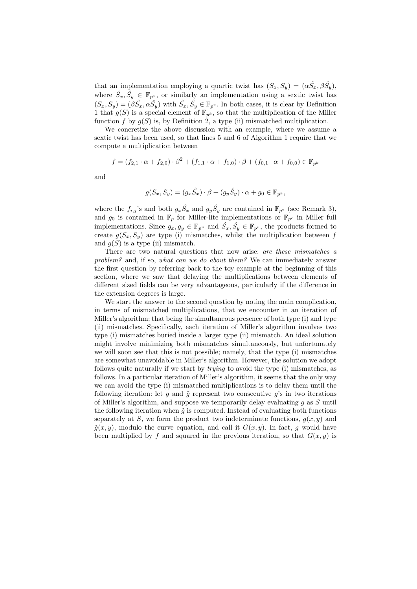that an implementation employing a quartic twist has  $(S_x, S_y) = (\alpha \hat{S_x}, \beta \hat{S_y})$ , where  $\hat{S}_x, \hat{S}_y \in \mathbb{F}_{p^v}$ , or similarly an implementation using a sextic twist has  $(S_x, S_y) = (\beta \hat{S}_x, \alpha \hat{S}_y)$  with  $\hat{S}_x, \hat{S}_y \in \mathbb{F}_{p^v}$ . In both cases, it is clear by Definition 1 that  $g(S)$  is a special element of  $\mathbb{F}_{p^k}$ , so that the multiplication of the Miller function f by  $g(S)$  is, by Definition 2, a type (ii) mismatched multiplication.

We concretize the above discussion with an example, where we assume a sextic twist has been used, so that lines 5 and 6 of Algorithm 1 require that we compute a multiplication between

$$
f = (f_{2,1} \cdot \alpha + f_{2,0}) \cdot \beta^2 + (f_{1,1} \cdot \alpha + f_{1,0}) \cdot \beta + (f_{0,1} \cdot \alpha + f_{0,0}) \in \mathbb{F}_{p^k}
$$

and

$$
g(S_x,S_y)=(g_x\hat{S_x})\cdot\beta+(g_y\hat{S_y})\cdot\alpha+g_0\in\mathbb{F}_{p^k},
$$

where the  $f_{i,j}$ 's and both  $g_x \hat{S}_x$  and  $g_y \hat{S}_y$  are contained in  $\mathbb{F}_{p^e}$  (see Remark 3), and  $g_0$  is contained in  $\mathbb{F}_p$  for Miller-lite implementations or  $\mathbb{F}_{p^e}$  in Miller full implementations. Since  $g_x, g_y \in \mathbb{F}_{p^u}$  and  $\hat{S_x}, \hat{S_y} \in \mathbb{F}_{p^v}$ , the products formed to create  $q(S_x, S_y)$  are type (i) mismatches, whilst the multiplication between f and  $q(S)$  is a type (ii) mismatch.

There are two natural questions that now arise: are these mismatches a problem? and, if so, what can we do about them? We can immediately answer the first question by referring back to the toy example at the beginning of this section, where we saw that delaying the multiplications between elements of different sized fields can be very advantageous, particularly if the difference in the extension degrees is large.

We start the answer to the second question by noting the main complication, in terms of mismatched multiplications, that we encounter in an iteration of Miller's algorithm; that being the simultaneous presence of both type (i) and type (ii) mismatches. Specifically, each iteration of Miller's algorithm involves two type (i) mismatches buried inside a larger type (ii) mismatch. An ideal solution might involve minimizing both mismatches simultaneously, but unfortunately we will soon see that this is not possible; namely, that the type (i) mismatches are somewhat unavoidable in Miller's algorithm. However, the solution we adopt follows quite naturally if we start by trying to avoid the type (i) mismatches, as follows. In a particular iteration of Miller's algorithm, it seems that the only way we can avoid the type (i) mismatched multiplications is to delay them until the following iteration: let  $g$  and  $\tilde{g}$  represent two consecutive  $g$ 's in two iterations of Miller's algorithm, and suppose we temporarily delay evaluating  $q$  as  $S$  until the following iteration when  $\tilde{q}$  is computed. Instead of evaluating both functions separately at S, we form the product two indeterminate functions,  $g(x, y)$  and  $\tilde{g}(x, y)$ , modulo the curve equation, and call it  $G(x, y)$ . In fact, g would have been multiplied by f and squared in the previous iteration, so that  $G(x, y)$  is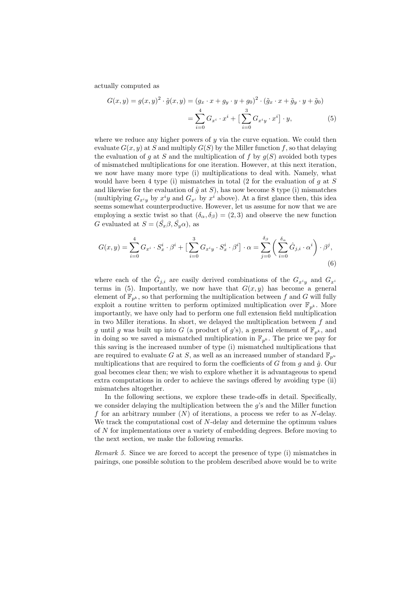actually computed as

$$
G(x,y) = g(x,y)^2 \cdot \tilde{g}(x,y) = (g_x \cdot x + g_y \cdot y + g_0)^2 \cdot (\tilde{g}_x \cdot x + \tilde{g}_y \cdot y + \tilde{g}_0)
$$

$$
= \sum_{i=0}^4 G_{x^i} \cdot x^i + \left[\sum_{i=0}^3 G_{x^i y} \cdot x^i\right] \cdot y,\tag{5}
$$

where we reduce any higher powers of  $y$  via the curve equation. We could then evaluate  $G(x, y)$  at S and multiply  $G(S)$  by the Miller function f, so that delaying the evaluation of g at S and the multiplication of f by  $g(S)$  avoided both types of mismatched multiplications for one iteration. However, at this next iteration, we now have many more type (i) multiplications to deal with. Namely, what would have been 4 type (i) mismatches in total (2 for the evaluation of  $q$  at  $S$ and likewise for the evaluation of  $\hat{q}$  at S), has now become 8 type (i) mismatches (multiplying  $G_{x^iy}$  by  $x^iy$  and  $G_{x^i}$  by  $x^i$  above). At a first glance then, this idea seems somewhat counterproductive. However, let us assume for now that we are employing a sextic twist so that  $(\delta_{\alpha}, \delta_{\beta}) = (2, 3)$  and observe the new function G evaluated at  $S = (\hat{S}_x \beta, \hat{S}_y \alpha)$ , as

$$
G(x,y) = \sum_{i=0}^{4} G_{x^i} \cdot S_x^i \cdot \beta^i + \left[ \sum_{i=0}^{3} G_{x^i y} \cdot S_x^i \cdot \beta^i \right] \cdot \alpha = \sum_{j=0}^{\delta_\beta} \left( \sum_{i=0}^{\delta_\alpha} \hat{G}_{j,i} \cdot \alpha^i \right) \cdot \beta^j,
$$
\n(6)

where each of the  $\hat{G}_{j,i}$  are easily derived combinations of the  $G_{x^iy}$  and  $G_{x^i}$ terms in (5). Importantly, we now have that  $G(x, y)$  has become a general element of  $\mathbb{F}_{p^k}$ , so that performing the multiplication between f and G will fully exploit a routine written to perform optimized multiplication over  $\mathbb{F}_{p^k}$ . More importantly, we have only had to perform one full extension field multiplication in two Miller iterations. In short, we delayed the multiplication between  $f$  and g until g was built up into G (a product of g's), a general element of  $\mathbb{F}_{p^k}$ , and in doing so we saved a mismatched multiplication in  $\mathbb{F}_{p^k}$ . The price we pay for this saving is the increased number of type (i) mismatched multiplications that are required to evaluate G at S, as well as an increased number of standard  $\mathbb{F}_{p^u}$ multiplications that are required to form the coefficients of  $G$  from  $g$  and  $\hat{g}$ . Our goal becomes clear then; we wish to explore whether it is advantageous to spend extra computations in order to achieve the savings offered by avoiding type (ii) mismatches altogether.

In the following sections, we explore these trade-offs in detail. Specifically, we consider delaying the multiplication between the  $q$ 's and the Miller function f for an arbitrary number  $(N)$  of iterations, a process we refer to as N-delay. We track the computational cost of N-delay and determine the optimum values of N for implementations over a variety of embedding degrees. Before moving to the next section, we make the following remarks.

Remark 5. Since we are forced to accept the presence of type (i) mismatches in pairings, one possible solution to the problem described above would be to write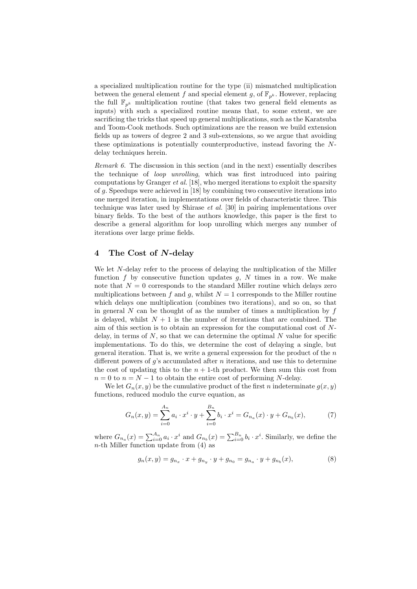a specialized multiplication routine for the type (ii) mismatched multiplication between the general element f and special element g, of  $\mathbb{F}_{p^k}$ . However, replacing the full  $\mathbb{F}_{p^k}$  multiplication routine (that takes two general field elements as inputs) with such a specialized routine means that, to some extent, we are sacrificing the tricks that speed up general multiplications, such as the Karatsuba and Toom-Cook methods. Such optimizations are the reason we build extension fields up as towers of degree 2 and 3 sub-extensions, so we argue that avoiding these optimizations is potentially counterproductive, instead favoring the Ndelay techniques herein.

Remark 6. The discussion in this section (and in the next) essentially describes the technique of loop unrolling, which was first introduced into pairing computations by Granger *et al.* [18], who merged iterations to exploit the sparsity of g. Speedups were achieved in [18] by combining two consecutive iterations into one merged iteration, in implementations over fields of characteristic three. This technique was later used by Shirase et al. [30] in pairing implementations over binary fields. To the best of the authors knowledge, this paper is the first to describe a general algorithm for loop unrolling which merges any number of iterations over large prime fields.

#### 4 The Cost of N-delay

We let N-delay refer to the process of delaying the multiplication of the Miller function f by consecutive function updates  $g$ ,  $N$  times in a row. We make note that  $N = 0$  corresponds to the standard Miller routine which delays zero multiplications between f and q, whilst  $N = 1$  corresponds to the Miller routine which delays one multiplication (combines two iterations), and so on, so that in general  $N$  can be thought of as the number of times a multiplication by  $f$ is delayed, whilst  $N + 1$  is the number of iterations that are combined. The aim of this section is to obtain an expression for the computational cost of Ndelay, in terms of  $N$ , so that we can determine the optimal  $N$  value for specific implementations. To do this, we determine the cost of delaying a single, but general iteration. That is, we write a general expression for the product of the  $n$ different powers of  $g$ 's accumulated after *n* iterations, and use this to determine the cost of updating this to the  $n + 1$ -th product. We then sum this cost from  $n = 0$  to  $n = N - 1$  to obtain the entire cost of performing N-delay.

We let  $G_n(x, y)$  be the cumulative product of the first n indeterminate  $g(x, y)$ functions, reduced modulo the curve equation, as

$$
G_n(x,y) = \sum_{i=0}^{A_n} a_i \cdot x^i \cdot y + \sum_{i=0}^{B_n} b_i \cdot x^i = G_{n_a}(x) \cdot y + G_{n_b}(x),\tag{7}
$$

where  $G_{n_a}(x) = \sum_{i=0}^{A_n} a_i \cdot x^i$  and  $G_{n_b}(x) = \sum_{i=0}^{B_n} b_i \cdot x^i$ . Similarly, we define the  $n$ -th Miller function update from  $(4)$  as

$$
g_n(x,y) = g_{n_x} \cdot x + g_{n_y} \cdot y + g_{n_0} = g_{n_a} \cdot y + g_{n_b}(x), \tag{8}
$$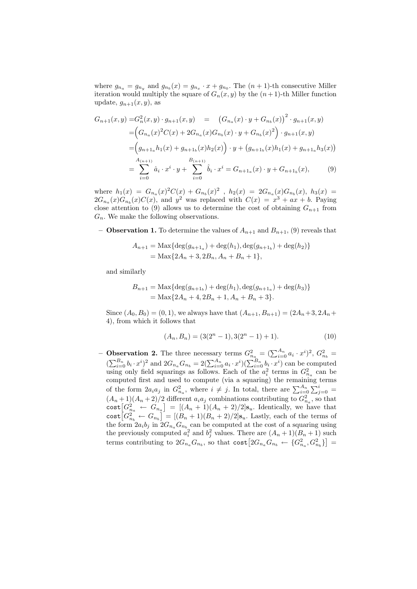where  $g_{n_a} = g_{n_y}$  and  $g_{n_b}(x) = g_{n_x} \cdot x + g_{n_0}$ . The  $(n + 1)$ -th consecutive Miller iteration would multiply the square of  $G_n(x, y)$  by the  $(n + 1)$ -th Miller function update,  $g_{n+1}(x, y)$ , as

$$
G_{n+1}(x,y) = G_n^2(x,y) \cdot g_{n+1}(x,y) = (G_{n_a}(x) \cdot y + G_{n_b}(x))^2 \cdot g_{n+1}(x,y)
$$
  
\n
$$
= (G_{n_a}(x)^2 C(x) + 2G_{n_a}(x)G_{n_b}(x) \cdot y + G_{n_b}(x)^2) \cdot g_{n+1}(x,y)
$$
  
\n
$$
= (g_{n+1_a} h_1(x) + g_{n+1_b}(x)h_2(x)) \cdot y + (g_{n+1_b}(x)h_1(x) + g_{n+1_a}h_3(x))
$$
  
\n
$$
= \sum_{i=0}^{A_{(n+1)}} \hat{a}_i \cdot x^i \cdot y + \sum_{i=0}^{B_{(n+1)}} \hat{b}_i \cdot x^i = G_{n+1_a}(x) \cdot y + G_{n+1_b}(x), \qquad (9)
$$

where  $h_1(x) = G_{n_a}(x)^2 C(x) + G_{n_b}(x)^2$ ,  $h_2(x) = 2G_{n_a}(x)G_{n_b}(x)$ ,  $h_3(x) =$  $2G_{n_a}(x)G_{n_b}(x)C(x)$ , and  $y^2$  was replaced with  $C(x) = x^3 + ax + b$ . Paying close attention to (9) allows us to determine the cost of obtaining  $G_{n+1}$  from  $G_n$ . We make the following observations.

**– Observation 1.** To determine the values of  $A_{n+1}$  and  $B_{n+1}$ , (9) reveals that

$$
A_{n+1} = \text{Max} \{ \deg(g_{n+1_a}) + \deg(h_1), \deg(g_{n+1_b}) + \deg(h_2) \}
$$
  
= Max  $\{ 2A_n + 3, 2B_n, A_n + B_n + 1 \}$ ,

and similarly

$$
B_{n+1} = \text{Max} \{ \deg(g_{n+1_b}) + \deg(h_1), \deg(g_{n+1_a}) + \deg(h_3) \}
$$
  
= Max \{ 2A\_n + 4, 2B\_n + 1, A\_n + B\_n + 3 \}.

Since  $(A_0, B_0) = (0, 1)$ , we always have that  $(A_{n+1}, B_{n+1}) = (2A_n + 3, 2A_n +$ 4), from which it follows that

$$
(A_n, B_n) = (3(2^n - 1), 3(2^n - 1) + 1). \tag{10}
$$

- Observation 2. The three necessary terms  $G_{n_a}^2 = (\sum_{i=0}^{A_n} a_i \cdot x^i)^2$ ,  $G_{n_b}^2 =$  $(\sum_{i=0}^{B_n} b_i \cdot x^i)^2$  and  $2G_{n_a}G_{n_b} = 2(\sum_{i=0}^{A_n} a_i \cdot x^i)(\sum_{i=0}^{B_n} b_i \cdot x^i)$  can be computed using only field squarings as follows. Each of the  $a_i^2$  terms in  $G_{n_a}^2$  can be computed first and used to compute (via a squaring) the remaining terms of the form  $2a_i a_j$  in  $G_{n_a}^2$ , where  $i \neq j$ . In total, there are  $\sum_{i=0}^{A_n} \sum_{j=0}^{i}$  $(A_n+1)(A_n+2)/2$  different  $a_i a_j$  combinations contributing to  $G_{n_a}^2$ , so that  $\cot G_{n_a}^2 \leftarrow G_{n_a}$  =  $[(A_n + 1)(A_n + 2)/2]s_u$ . Identically, we have that  $\text{cost}[G_{n_b}^2 \leftarrow G_{n_b}] = [(B_n + 1)(B_n + 2)/2] \mathbf{s}_u$ . Lastly, each of the terms of the form  $2a_ib_j$  in  $2G_{n_a}G_{n_b}$  can be computed at the cost of a squaring using the previously computed  $a_i^2$  and  $b_j^2$  values. There are  $(A_n + 1)(B_n + 1)$  such terms contributing to  $2G_{n_a}G_{n_b}$ , so that  $\text{cost}\big[2G_{n_a}G_{n_b} \leftarrow \{G_{n_a}^2, G_{n_b}^2\}\big] =$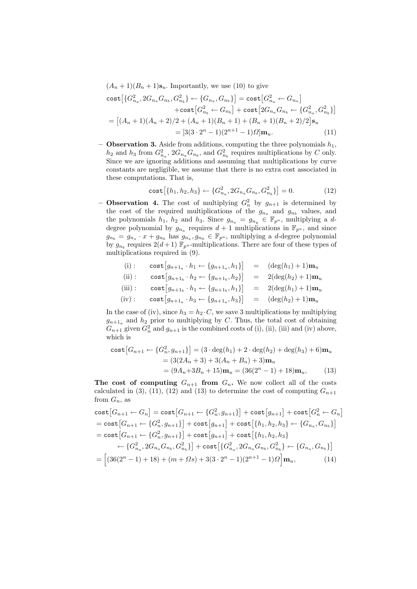$(A_n + 1)(B_n + 1)\mathbf{s}_u$ . Importantly, we use (10) to give

cost
$$
\begin{aligned}\n\text{cost}\left[\{G_{n_a}^2, 2G_{n_a}G_{n_b}, G_{n_b}^2\} \leftarrow \{G_{n_a}, G_{n_b}\}\right] &= \text{cost}\left[G_{n_a}^2 \leftarrow G_{n_a}\right] \\
&\quad + \text{cost}\left[G_{n_b}^2 \leftarrow G_{n_b}\right] + \text{cost}\left[2G_{n_a}G_{n_b} \leftarrow \{G_{n_a}^2, G_{n_b}^2\}\right] \\
&= \left[(A_n + 1)(A_n + 2)/2 + (A_n + 1)(B_n + 1) + (B_n + 1)(B_n + 2)/2\right]\mathbf{s}_u \\
&= \left[3(3 \cdot 2^n - 1)(2^{n+1} - 1)\Omega\right]\mathbf{m}_u.\n\end{aligned} \tag{11}
$$

– Observation 3. Aside from additions, computing the three polynomials  $h_1$ ,  $h_2$  and  $h_3$  from  $G_{n_a}^2$ ,  $2G_{n_a}G_{n_b}$ , and  $G_{n_b}^2$  requires multiplications by C only. Since we are ignoring additions and assuming that multiplications by curve constants are negligible, we assume that there is no extra cost associated in these computations. That is,

cost
$$
\left[\{h_1, h_2, h_3\} \leftarrow \{G_{n_a}^2, 2G_{n_a} G_{n_b}, G_{n_b}^2\}\right] = 0.
$$
 (12)

**- Observation 4.** The cost of multiplying  $G_n^2$  by  $g_{n+1}$  is determined by the cost of the required multiplications of the  $g_{n_a}$  and  $g_{n_b}$  values, and the polynomials  $h_1$ ,  $h_2$  and  $h_3$ . Since  $g_{n_a} = g_{n_y} \in \mathbb{F}_{p^u}$ , multiplying a ddegree polynomial by  $g_{n_a}$  requires  $d+1$  multiplications in  $\mathbb{F}_{p^u}$ , and since  $g_{n_b} = g_{n_x} \cdot x + g_{n_0}$  has  $g_{n_x}, g_{n_0} \in \mathbb{F}_{p^u}$ , multiplying a *d*-degree polynomial by  $g_{n_b}$  requires  $2(d+1)$   $\mathbb{F}_{p^u}$ -multiplications. There are four of these types of multiplications required in (9).

(i): 
$$
\cosh[g_{n+1_a} \cdot h_1 \leftarrow \{g_{n+1_a}, h_1\}]
$$
 =  $(\deg(h_1) + 1)\mathbf{m}_u$   
\n(ii):  $\cosh[g_{n+1_b} \cdot h_2 \leftarrow \{g_{n+1_b}, h_2\}]$  =  $2(\deg(h_2) + 1)\mathbf{m}_u$   
\n(iii):  $\cosh[g_{n+1_b} \cdot h_1 \leftarrow \{g_{n+1_b}, h_1\}]$  =  $2(\deg(h_1) + 1)\mathbf{m}_u$   
\n(iv):  $\cosh[g_{n+1_a} \cdot h_3 \leftarrow \{g_{n+1_a}, h_3\}]$  =  $(\deg(h_2) + 1)\mathbf{m}_u$ 

In the case of (iv), since  $h_3 = h_2 \cdot C$ , we save 3 multiplications by multiplying  $g_{n+1_a}$  and  $h_2$  prior to multiplying by C. Thus, the total cost of obtaining  $G_{n+1}$  given  $G_n^2$  and  $g_{n+1}$  is the combined costs of (i), (ii), (iii) and (iv) above, which is

$$
\cosh\left[G_{n+1} \leftarrow \{G_n^2, g_{n+1}\}\right] = (3 \cdot \deg(h_1) + 2 \cdot \deg(h_2) + \deg(h_3) + 6)\mathbf{m}_u
$$

$$
= (3(2A_n + 3) + 3(A_n + B_n) + 3)\mathbf{m}_u
$$

$$
= (9A_n + 3B_n + 15)\mathbf{m}_u = (36(2^n - 1) + 18)\mathbf{m}_u, \tag{13}
$$

The cost of computing  $G_{n+1}$  from  $G_n$ . We now collect all of the costs calculated in (3), (11), (12) and (13) to determine the cost of computing  $G_{n+1}$ from  $G_n$ , as

cost
$$
[G_{n+1} \leftarrow G_n] = \text{cost}[G_{n+1} \leftarrow \{G_n^2, g_{n+1}\}] + \text{cost}[g_{n+1}] + \text{cost}[G_n^2 \leftarrow G_n]
$$
  
= cost  $[G_{n+1} \leftarrow \{G_n^2, g_{n+1}\}] + \text{cost}[g_{n+1}] + \text{cost}[\{h_1, h_2, h_3\} \leftarrow \{G_{n_a}, G_{n_b}\}\]$   
= cost  $[G_{n+1} \leftarrow \{G_n^2, g_{n+1}\}] + \text{cost}[g_{n+1}] + \text{cost}[\{h_1, h_2, h_3\} \leftarrow \{G_{n_a}, G_{n_a}, G_{n_b}, G_{n_b}^2\}] + \text{cost}[\{G_{n_a}^2, 2G_{n_a}G_{n_b}, G_{n_b}^2\} \leftarrow \{G_{n_a}, G_{n_b}\}\]$   
=  $\left[ (36(2^n - 1) + 18) + (m + \Omega s) + 3(3 \cdot 2^n - 1)(2^{n+1} - 1)\Omega \right] \mathbf{m}_u,$  (14)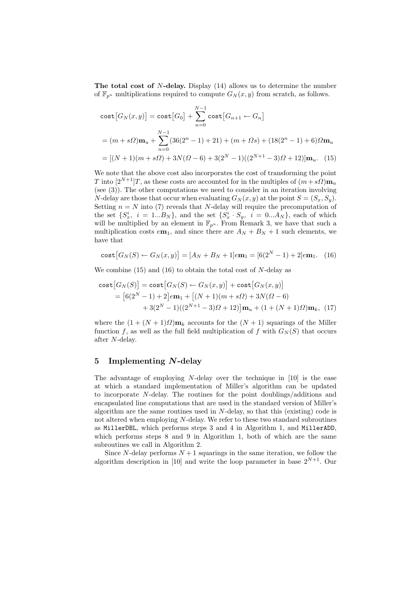The total cost of  $N$ -delay. Display  $(14)$  allows us to determine the number of  $\mathbb{F}_{p^u}$  multiplications required to compute  $G_N(x, y)$  from scratch, as follows.

cost 
$$
[G_N(x, y)]
$$
 = cost  $[G_0]$  +  $\sum_{n=0}^{N-1}$  cost  $[G_{n+1} \leftarrow G_n]$   
=  $(m + s\Omega)\mathbf{m}_u + \sum_{n=0}^{N-1} (36(2^n - 1) + 21) + (m + \Omega s) + (18(2^n - 1) + 6)\Omega \mathbf{m}_u$   
=  $[(N+1)(m + s\Omega) + 3N(\Omega - 6) + 3(2^N - 1)((2^{N+1} - 3)\Omega + 12)]\mathbf{m}_u$ . (15)

We note that the above cost also incorporates the cost of transforming the point T into  $[2^{N+1}]T$ , as these costs are accounted for in the multiples of  $(m+s\Omega)$  $m_u$ (see (3)). The other computations we need to consider in an iteration involving N-delay are those that occur when evaluating  $G_N(x, y)$  at the point  $S = (S_x, S_y)$ . Setting  $n = N$  into (7) reveals that N-delay will require the precomputation of the set  $\{S_x^i, i = 1...B_N\}$ , and the set  $\{S_x^i \cdot S_y, i = 0...A_N\}$ , each of which will be multiplied by an element in  $\mathbb{F}_{p^u}$ . From Remark 3, we have that such a multiplication costs  $e\mathbf{m}_1$ , and since there are  $A_N + B_N + 1$  such elements, we have that

cost 
$$
[G_N(S) \leftarrow G_N(x, y)] = [A_N + B_N + 1] \cdot \mathbf{m}_1 = [6(2^N - 1) + 2] \cdot \mathbf{m}_1.
$$
 (16)

We combine  $(15)$  and  $(16)$  to obtain the total cost of N-delay as

$$
\begin{aligned} \text{cost}[G_N(S)] &= \text{cost}[G_N(S) \leftarrow G_N(x, y)] + \text{cost}[G_N(x, y)] \\ &= [6(2^N - 1) + 2] \epsilon \mathbf{m}_1 + \left[ (N + 1)(m + s\Omega) + 3N(\Omega - 6) \right. \\ &\quad + 3(2^N - 1)((2^{N+1} - 3)\Omega + 12)] \mathbf{m}_u + (1 + (N + 1)\Omega)\mathbf{m}_k, \ (17) \end{aligned}
$$

where the  $(1 + (N + 1)\Omega)\mathbf{m}_k$  accounts for the  $(N + 1)$  squarings of the Miller function f, as well as the full field multiplication of f with  $G_N(S)$  that occurs after N-delay.

### 5 Implementing N-delay

The advantage of employing  $N$ -delay over the technique in [10] is the ease at which a standard implementation of Miller's algorithm can be updated to incorporate N-delay. The routines for the point doublings/additions and encapsulated line computations that are used in the standard version of Miller's algorithm are the same routines used in  $N$ -delay, so that this (existing) code is not altered when employing N-delay. We refer to these two standard subroutines as MillerDBL, which performs steps 3 and 4 in Algorithm 1, and MillerADD, which performs steps 8 and 9 in Algorithm 1, both of which are the same subroutines we call in Algorithm 2.

Since N-delay performs  $N+1$  squarings in the same iteration, we follow the algorithm description in [10] and write the loop parameter in base  $2^{N+1}$ . Our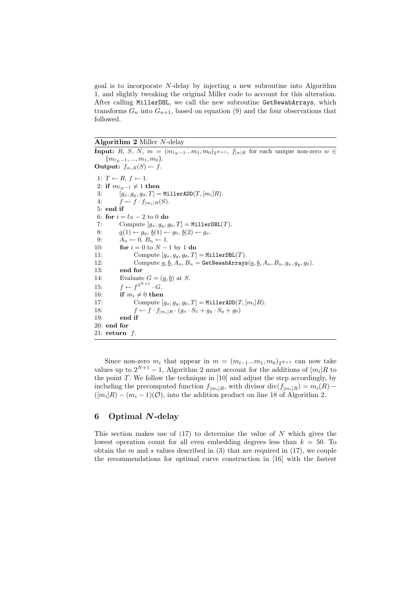goal is to incorporate N-delay by injecting a new subroutine into Algorithm 1, and slightly tweaking the original Miller code to account for this alteration. After calling MillerDBL, we call the new subroutine GetNewabArrays, which transforms  $G_n$  into  $G_{n+1}$ , based on equation (9) and the four observations that followed.

#### Algorithm 2 Miller N-delay

Input: R, S, N,  $m = (m_{l_N-1}...m_1, m_0)_{2^{N+1}}$ ,  $f_{[w]R}$  for each unique non-zero  $w \in$  ${m_l}_{N-1}, ..., m_1, m_0$ . **Output:**  $f_{m,R}(S) \leftarrow f$ . 1:  $T \leftarrow R, f \leftarrow 1$ . 2: if  $m_{l_N-1} \neq 1$  then<br>3:  $[a_x, a_y, a_0, T] =$  $[g_x, g_y, g_0, T] = \texttt{MillerADD}(T, [m_i]R).$ 4:  $f \leftarrow f \cdot f_{[m_i]R}(S)$ . 5: end if 6: for  $i = l_N - 2$  to 0 do 7: Compute  $[g_x, g_y, g_0, T] = \texttt{MillerDBL}(T)$ . 8:  $\underline{a}(1) \leftarrow g_y, \underline{b}(1) \leftarrow g_0, \underline{b}(2) \leftarrow g_x.$ 9:  $A_n \leftarrow 0, B_n \leftarrow 1.$ 10: **for**  $i = 0$  to  $N - 1$  by 1 **do** 11: Compute  $[g_x, g_y, g_0, T] = \texttt{MilerDBL}(T)$ . 12: Compute  $\underline{a}, \underline{b}, A_n, B_n = \texttt{GetNewabArrays}(\underline{a}, \underline{b}, A_n, B_n, g_x, g_y, g_0).$ 13: end for 14: Evaluate  $G = (\underline{a}, \underline{b})$  at S. 15:  $f \leftarrow f^{2^{N+1}} \cdot G$ . 16: if  $m_i \neq 0$  then 17: Compute  $[g_x, g_y, g_0, T] = \texttt{MillerADD}(T, [m_i]R)$ . 18:  $f \leftarrow f \cdot f_{[m_i]R} \cdot (g_x \cdot S_x + g_y \cdot S_y + g_0)$ <br>19: **end if** end if 20: end for 21: return  $f$ .

Since non-zero  $m_i$  that appear in  $m = (m_{l-1}...m_1, m_0)_{2^{N+1}}$  can now take values up to  $2^{N+1} - 1$ , Algorithm 2 must account for the additions of  $[m_i]R$  to the point  $T$ . We follow the technique in  $[10]$  and adjust the step accordingly, by including the precomputed function  $f_{[m_i]R}$ , with divisor div $(f_{[m_i]R}) = m_i(R)$  $([m_i]R) - (m_i - 1)(\mathcal{O})$ , into the addition product on line 18 of Algorithm 2.

# 6 Optimal N-delay

This section makes use of  $(17)$  to determine the value of N which gives the lowest operation count for all even embedding degrees less than  $k = 50$ . To obtain the m and s values described in  $(3)$  that are required in  $(17)$ , we couple the recommendations for optimal curve construction in [16] with the fastest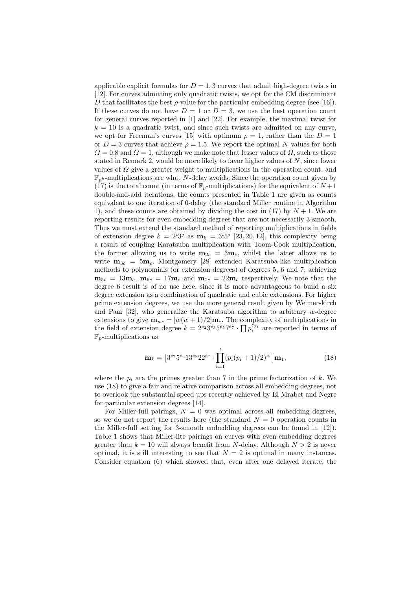applicable explicit formulas for  $D = 1, 3$  curves that admit high-degree twists in [12]. For curves admitting only quadratic twists, we opt for the CM discriminant D that facilitates the best  $\rho$ -value for the particular embedding degree (see [16]). If these curves do not have  $D = 1$  or  $D = 3$ , we use the best operation count for general curves reported in [1] and [22]. For example, the maximal twist for  $k = 10$  is a quadratic twist, and since such twists are admitted on any curve, we opt for Freeman's curves [15] with optimum  $\rho = 1$ , rather than the  $D = 1$ or  $D = 3$  curves that achieve  $\rho = 1.5$ . We report the optimal N values for both  $\Omega = 0.8$  and  $\Omega = 1$ , although we make note that lesser values of  $\Omega$ , such as those stated in Remark 2, would be more likely to favor higher values of N, since lower values of  $\Omega$  give a greater weight to multiplications in the operation count, and  $\mathbb{F}_{p^k}$ -multiplications are what N-delay avoids. Since the operation count given by (17) is the total count (in terms of  $\mathbb{F}_p$ -multiplications) for the equivalent of  $N+1$ double-and-add iterations, the counts presented in Table 1 are given as counts equivalent to one iteration of 0-delay (the standard Miller routine in Algorithm 1), and these counts are obtained by dividing the cost in (17) by  $N+1$ . We are reporting results for even embedding degrees that are not necessarily 3-smooth. Thus we must extend the standard method of reporting multiplications in fields of extension degree  $k = 2^{i}3^{j}$  as  $m_k = 3^{i}5^{j}$  [23, 20, 12], this complexity being a result of coupling Karatsuba multiplication with Toom-Cook multiplication, the former allowing us to write  $m_{2c} = 3m_c$ , whilst the latter allows us to write  $m_{3c} = 5m_c$ . Montgomery [28] extended Karatsuba-like multiplication methods to polynomials (or extension degrees) of degrees 5, 6 and 7, achieving  $m_{5c} = 13m_c$ ,  $m_{6c} = 17m_c$  and  $m_{7c} = 22m_c$  respectively. We note that the degree 6 result is of no use here, since it is more advantageous to build a six degree extension as a combination of quadratic and cubic extensions. For higher prime extension degrees, we use the more general result given by Weimerskirch and Paar  $[32]$ , who generalize the Karatsuba algorithm to arbitrary w-degree extensions to give  $\mathbf{m}_{wc} = [w(w+1)/2]\mathbf{m}_{c}$ . The complexity of multiplications in the field of extension degree  $k = 2^{e_2} 3^{e_3} 5^{e_5} 7^{e_7} \cdot \prod p_i^{e_{p_i}}$  are reported in terms of  $\mathbb{F}_p$ -multiplications as

$$
\mathbf{m}_{k} = \left[3^{e_{2}}5^{e_{3}}13^{e_{5}}22^{e_{7}} \cdot \prod_{i=1}^{t} (p_{i}(p_{i}+1)/2)^{e_{i}}\right] \mathbf{m}_{1},
$$
\n(18)

where the  $p_i$  are the primes greater than 7 in the prime factorization of k. We use (18) to give a fair and relative comparison across all embedding degrees, not to overlook the substantial speed ups recently achieved by El Mrabet and Negre for particular extension degrees [14].

For Miller-full pairings,  $N = 0$  was optimal across all embedding degrees, so we do not report the results here (the standard  $N = 0$  operation counts in the Miller-full setting for 3-smooth embedding degrees can be found in [12]). Table 1 shows that Miller-lite pairings on curves with even embedding degrees greater than  $k = 10$  will always benefit from N-delay. Although  $N > 2$  is never optimal, it is still interesting to see that  $N = 2$  is optimal in many instances. Consider equation (6) which showed that, even after one delayed iterate, the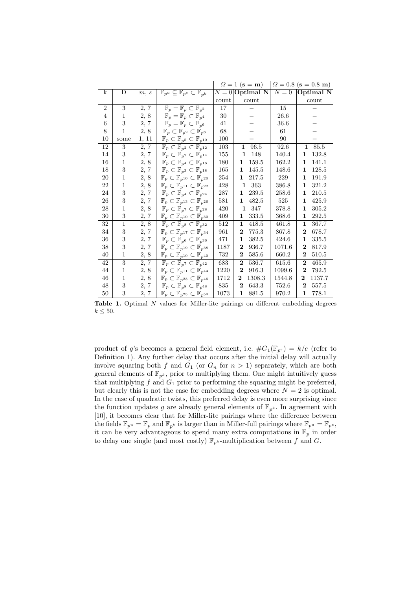|                |              |       |                                                                        |       | $\Omega = 1$ (s = m)      | $\Omega = 0.8$ | $({\bf s} = 0.8 \; {\bf m})$ |
|----------------|--------------|-------|------------------------------------------------------------------------|-------|---------------------------|----------------|------------------------------|
| k              | D            | m, s  | $\mathbb{F}_{p^u} \subseteq \mathbb{F}_{p^e} \subset \mathbb{F}_{p^k}$ |       | $N = 0$ Optimal N         | $N=0$          | Optimal N                    |
|                |              |       |                                                                        | count | count                     |                | count                        |
| $\overline{2}$ | 3            | 2, 7  | $\mathbb{F}_p = \mathbb{F}_p \subset \mathbb{F}_{p^2}$                 | 17    |                           | 15             |                              |
| 4              | 1            | 2, 8  | $\mathbb{F}_p = \mathbb{F}_p \subset \mathbb{F}_{p^4}$                 | 30    |                           | 26.6           |                              |
| 6              | 3            | 2, 7  | $\mathbb{F}_p = \mathbb{F}_p \subset \mathbb{F}_{p^6}$                 | 41    |                           | 36.6           |                              |
| 8              | $\mathbf{1}$ | 2, 8  | $\mathbb{F}_p\subset\mathbb{F}_{p^2}\subset\mathbb{F}_{p^8}$           | 68    |                           | 61             |                              |
| 10             | some         | 1, 11 | $\mathbb{F}_p\subset\mathbb{F}_{p^5}\subset\mathbb{F}_{p^{10}}$        | 100   |                           | 90             |                              |
| 12             | 3            | 2, 7  | $\mathbb{F}_p \subset \mathbb{F}_{p^2} \subset \mathbb{F}_{p^{12}}$    | 103   | 1<br>96.5                 | 92.6           | $\mathbf{1}$<br>85.5         |
| 14             | 3            | 2, 7  | $\mathbb{F}_p \subset \mathbb{F}_{p^7} \subset \mathbb{F}_{p^{14}}$    | 155   | 148<br>1                  | 140.4          | 132.8<br>1                   |
| 16             | 1            | 2, 8  | $\mathbb{F}_p \subset \mathbb{F}_{p^4} \subset \mathbb{F}_{p^{16}}$    | 180   | 159.5<br>1                | 162.2          | 141.1<br>1                   |
| 18             | 3            | 2, 7  | $\mathbb{F}_p \subset \mathbb{F}_{p^3} \subset \mathbb{F}_{p^{18}}$    | 165   | 145.5<br>1                | 148.6          | 128.5<br>1                   |
| 20             | 1            | 2, 8  | $\mathbb{F}_p \subset \mathbb{F}_{p^{10}} \subset \mathbb{F}_{p^{20}}$ | 254   | $\mathbf 1$<br>217.5      | 229            | $\mathbf{1}$<br>191.9        |
| 22             | $\mathbf{1}$ | 2, 8  | $\mathbb{F}_p \subset \mathbb{F}_{p^{11}} \subset \mathbb{F}_{p^{22}}$ | 428   | $\mathbf{1}$<br>363       | 386.8          | 321.2<br>1                   |
| 24             | 3            | 2, 7  | $\mathbb{F}_p \subset \mathbb{F}_{p^4} \subset \mathbb{F}_{p^{24}}$    | 287   | 239.5<br>$\mathbf 1$      | 258.6          | 210.5<br>$\mathbf{1}$        |
| 26             | 3            | 2, 7  | $\mathbb{F}_p\subset\mathbb{F}_{p^{13}}\subset\mathbb{F}_{p^{26}}$     | 581   | 482.5<br>1                | 525            | 425.9<br>$\mathbf 1$         |
| 28             | 1            | 2, 8  | $\mathbb{F}_p \subset \mathbb{F}_{p^7} \subset \mathbb{F}_{p^{28}}$    | 420   | 347<br>$\mathbf 1$        | 378.8          | 305.2<br>1                   |
| 30             | 3            | 2, 7  | $\mathbb{F}_p\subset\mathbb{F}_{p^{10}}\subset\mathbb{F}_{p^{30}}$     | 409   | 333.5<br>$\mathbf 1$      | 368.6          | 292.5<br>$\mathbf 1$         |
| 32             | $\mathbf{1}$ | 2, 8  | $\mathbb{F}_p \subset \mathbb{F}_{p^8} \subset \mathbb{F}_{p^{32}}$    | 512   | 418.5<br>$\mathbf 1$      | 461.8          | $\mathbf 1$<br>367.7         |
| 34             | 3            | 2, 7  | $\mathbb{F}_p\subset\mathbb{F}_{p^{17}}\subset\mathbb{F}_{p^{34}}$     | 961   | 775.3<br>$\bf{2}$         | 867.8          | $\bf{2}$<br>678.7            |
| 36             | 3            | 2, 7  | $\mathbb{F}_p \subset \mathbb{F}_{p^6} \subset \mathbb{F}_{p^{36}}$    | 471   | 382.5<br>$\mathbf{1}$     | 424.6          | 335.5<br>$\mathbf{1}$        |
| 38             | 3            | 2, 7  | $\mathbb{F}_p \subset \mathbb{F}_{p^{19}} \subset \mathbb{F}_{p^{38}}$ | 1187  | 936.7<br>$\bf{2}$         | 1071.6         | $\bf{2}$<br>817.9            |
| 40             | 1            | 2, 8  | $\mathbb{F}_p \subset \mathbb{F}_{p^{10}} \subset \mathbb{F}_{p^{40}}$ | 732   | 585.6<br>$\boldsymbol{2}$ | 660.2          | $\bf{2}$<br>510.5            |
| 42             | 3            | 2, 7  | $\mathbb{F}_p \subset \mathbb{F}_{p^7} \subset \mathbb{F}_{p^{42}}$    | 683   | $\bf{2}$<br>536.7         | 615.6          | $\overline{2}$<br>465.9      |
| 44             | 1            | 2, 8  | $\mathbb{F}_p\subset\mathbb{F}_{p^{11}}\subset\mathbb{F}_{p^{44}}$     | 1220  | 916.3<br>$\bf{2}$         | 1099.6         | 792.5<br>$\bf{2}$            |
| 46             | 1            | 2, 8  | $\mathbb{F}_p\subset\mathbb{F}_{p^{23}}\subset\mathbb{F}_{p^{46}}$     | 1712  | 1308.3<br>$\bf{2}$        | 1544.8         | $\bf{2}$<br>1137.7           |
| 48             | 3            | 2, 7  | $\mathbb{F}_p \subset \mathbb{F}_{p^8} \subset \mathbb{F}_{p^{48}}$    | 835   | 643.3<br>$\bf{2}$         | 752.6          | $\boldsymbol{2}$<br>557.5    |
| 50             | 3            | 2, 7  | $\mathbb{F}_p \subset \mathbb{F}_{p^{25}} \subset \mathbb{F}_{p^{50}}$ | 1073  | 881.5<br>1                | 970.2          | 778.1<br>$\mathbf{1}$        |

Table 1. Optimal N values for Miller-lite pairings on different embedding degrees  $k \leq 50$ .

product of g's becomes a general field element, i.e.  $\#G_1(\mathbb{F}_{n^e}) = k/e$  (refer to Definition 1). Any further delay that occurs after the initial delay will actually involve squaring both f and  $G_1$  (or  $G_n$  for  $n > 1$ ) separately, which are both general elements of  $\mathbb{F}_{p^k}$ , prior to multiplying them. One might intuitively guess that multiplying  $f$  and  $G_1$  prior to performing the squaring might be preferred, but clearly this is not the case for embedding degrees where  $N = 2$  is optimal. In the case of quadratic twists, this preferred delay is even more surprising since the function updates g are already general elements of  $\mathbb{F}_{p^k}$ . In agreement with [10], it becomes clear that for Miller-lite pairings where the difference between the fields  $\mathbb{F}_{p^u} = \mathbb{F}_p$  and  $\mathbb{F}_{p^k}$  is larger than in Miller-full pairings where  $\mathbb{F}_{p^u} = \mathbb{F}_{p^e}$ , it can be very advantageous to spend many extra computations in  $\mathbb{F}_p$  in order to delay one single (and most costly)  $\mathbb{F}_{p^k}$ -multiplication between f and G.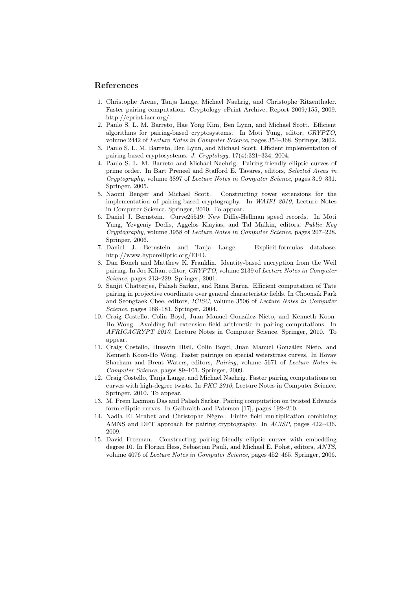#### References

- 1. Christophe Arene, Tanja Lange, Michael Naehrig, and Christophe Ritzenthaler. Faster pairing computation. Cryptology ePrint Archive, Report 2009/155, 2009. http://eprint.iacr.org/.
- 2. Paulo S. L. M. Barreto, Hae Yong Kim, Ben Lynn, and Michael Scott. Efficient algorithms for pairing-based cryptosystems. In Moti Yung, editor, CRYPTO, volume 2442 of Lecture Notes in Computer Science, pages 354–368. Springer, 2002.
- 3. Paulo S. L. M. Barreto, Ben Lynn, and Michael Scott. Efficient implementation of pairing-based cryptosystems. J. Cryptology, 17(4):321–334, 2004.
- 4. Paulo S. L. M. Barreto and Michael Naehrig. Pairing-friendly elliptic curves of prime order. In Bart Preneel and Stafford E. Tavares, editors, Selected Areas in Cryptography, volume 3897 of Lecture Notes in Computer Science, pages 319–331. Springer, 2005.
- 5. Naomi Benger and Michael Scott. Constructing tower extensions for the implementation of pairing-based cryptography. In WAIFI 2010, Lecture Notes in Computer Science. Springer, 2010. To appear.
- 6. Daniel J. Bernstein. Curve25519: New Diffie-Hellman speed records. In Moti Yung, Yevgeniy Dodis, Aggelos Kiayias, and Tal Malkin, editors, Public Key Cryptography, volume 3958 of Lecture Notes in Computer Science, pages 207–228. Springer, 2006.
- 7. Daniel J. Bernstein and Tanja Lange. Explicit-formulas database. http://www.hyperelliptic.org/EFD.
- 8. Dan Boneh and Matthew K. Franklin. Identity-based encryption from the Weil pairing. In Joe Kilian, editor, CRYPTO, volume 2139 of Lecture Notes in Computer Science, pages 213–229. Springer, 2001.
- 9. Sanjit Chatterjee, Palash Sarkar, and Rana Barua. Efficient computation of Tate pairing in projective coordinate over general characteristic fields. In Choonsik Park and Seongtaek Chee, editors, ICISC, volume 3506 of Lecture Notes in Computer Science, pages 168–181. Springer, 2004.
- 10. Craig Costello, Colin Boyd, Juan Manuel González Nieto, and Kenneth Koon-Ho Wong. Avoiding full extension field arithmetic in pairing computations. In AFRICACRYPT 2010, Lecture Notes in Computer Science. Springer, 2010. To appear.
- 11. Craig Costello, Huseyin Hisil, Colin Boyd, Juan Manuel González Nieto, and Kenneth Koon-Ho Wong. Faster pairings on special weierstrass curves. In Hovav Shacham and Brent Waters, editors, Pairing, volume 5671 of Lecture Notes in Computer Science, pages 89–101. Springer, 2009.
- 12. Craig Costello, Tanja Lange, and Michael Naehrig. Faster pairing computations on curves with high-degree twists. In PKC 2010, Lecture Notes in Computer Science. Springer, 2010. To appear.
- 13. M. Prem Laxman Das and Palash Sarkar. Pairing computation on twisted Edwards form elliptic curves. In Galbraith and Paterson [17], pages 192–210.
- 14. Nadia El Mrabet and Christophe Nègre. Finite field multiplication combining AMNS and DFT approach for pairing cryptography. In ACISP, pages 422–436, 2009.
- 15. David Freeman. Constructing pairing-friendly elliptic curves with embedding degree 10. In Florian Hess, Sebastian Pauli, and Michael E. Pohst, editors, ANTS, volume 4076 of Lecture Notes in Computer Science, pages 452–465. Springer, 2006.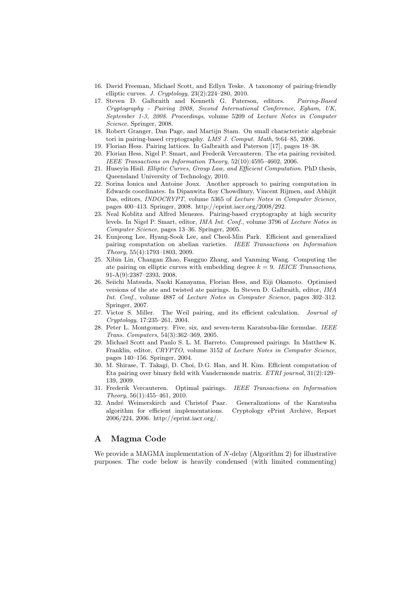- 16. David Freeman, Michael Scott, and Edlyn Teske. A taxonomy of pairing-friendly elliptic curves. J. Cryptology,  $23(2):224-280$ ,  $2010$ .
- 17. Steven D. Galbraith and Kenneth G. Paterson, editors. Pairing-Based Cryptography - Pairing 2008, Second International Conference, Egham, UK, September 1-3, 2008. Proceedings, volume 5209 of Lecture Notes in Computer Science. Springer, 2008.
- 18. Robert Granger, Dan Page, and Martijn Stam. On small characteristic algebraic tori in pairing-based cryptography. LMS J. Comput. Math, 9:64–85, 2006.
- 19. Florian Hess. Pairing lattices. In Galbraith and Paterson [17], pages 18–38.
- 20. Florian Hess, Nigel P. Smart, and Frederik Vercauteren. The eta pairing revisited. IEEE Transactions on Information Theory, 52(10):4595–4602, 2006.
- 21. Huseyin Hisil. Elliptic Curves, Group Law, and Efficient Computation. PhD thesis, Queensland University of Technology, 2010.
- 22. Sorina Ionica and Antoine Joux. Another approach to pairing computation in Edwards coordinates. In Dipanwita Roy Chowdhury, Vincent Rijmen, and Abhijit Das, editors, INDOCRYPT, volume 5365 of Lecture Notes in Computer Science, pages 400–413. Springer, 2008. http://eprint.iacr.org/2008/292.
- 23. Neal Koblitz and Alfred Menezes. Pairing-based cryptography at high security levels. In Nigel P. Smart, editor, IMA Int. Conf., volume 3796 of Lecture Notes in Computer Science, pages 13–36. Springer, 2005.
- 24. Eunjeong Lee, Hyang-Sook Lee, and Cheol-Min Park. Efficient and generalized pairing computation on abelian varieties. IEEE Transactions on Information Theory, 55(4):1793–1803, 2009.
- 25. Xibin Lin, Changan Zhao, Fangguo Zhang, and Yanming Wang. Computing the ate pairing on elliptic curves with embedding degree  $k = 9$ . IEICE Transactions, 91-A(9):2387–2393, 2008.
- 26. Seiichi Matsuda, Naoki Kanayama, Florian Hess, and Eiji Okamoto. Optimised versions of the ate and twisted ate pairings. In Steven D. Galbraith, editor, IMA Int. Conf., volume 4887 of Lecture Notes in Computer Science, pages 302-312. Springer, 2007.
- 27. Victor S. Miller. The Weil pairing, and its efficient calculation. Journal of Cryptology, 17:235–261, 2004.
- 28. Peter L. Montgomery. Five, six, and seven-term Karatsuba-like formulae. IEEE Trans. Computers, 54(3):362–369, 2005.
- 29. Michael Scott and Paulo S. L. M. Barreto. Compressed pairings. In Matthew K. Franklin, editor, CRYPTO, volume 3152 of Lecture Notes in Computer Science, pages 140–156. Springer, 2004.
- 30. M. Shirase, T. Takagi, D. Choi, D.G. Han, and H. Kim. Efficient computation of Eta pairing over binary field with Vandermonde matrix. ETRI journal, 31(2):129– 139, 2009.
- 31. Frederik Vercauteren. Optimal pairings. IEEE Transactions on Information Theory, 56(1):455–461, 2010.
- 32. André Weimerskirch and Christof Paar. Generalizations of the Karatsuba algorithm for efficient implementations. Cryptology ePrint Archive, Report 2006/224, 2006. http://eprint.iacr.org/.

# A Magma Code

We provide a MAGMA implementation of  $N$ -delay (Algorithm 2) for illustrative purposes. The code below is heavily condensed (with limited commenting)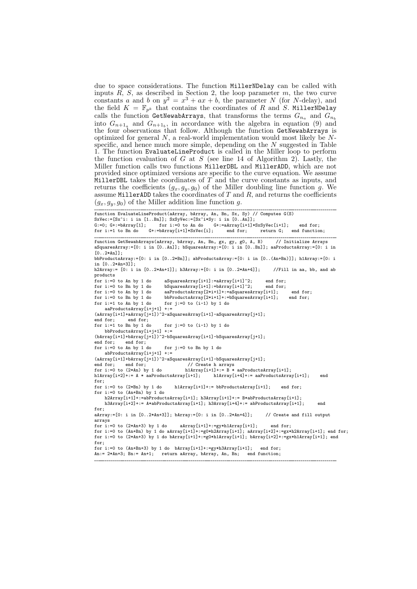due to space considerations. The function MillerNDelay can be called with inputs  $\overline{R}$ ,  $S$ , as described in Section 2, the loop parameter  $m$ , the two curve constants a and b on  $y^2 = x^3 + ax + b$ , the parameter N (for N-delay), and the field  $K = \mathbb{F}_{p^k}$  that contains the coordinates of R and S. MillerNDelay calls the function GetNewabArrays, that transforms the terms  $G_{n_a}$  and  $G_{n_b}$ into  $G_{n+1_a}$  and  $G_{n+1_b}$ , in accordance with the algebra in equation (9) and the four observations that follow. Although the function GetNewabArrays is optimized for general  $N$ , a real-world implementation would most likely be  $N$ specific, and hence much more simple, depending on the N suggested in Table 1. The function EvaluateLineProduct is called in the Miller loop to perform the function evaluation of G at S (see line 14 of Algorithm 2). Lastly, the Miller function calls two functions MillerDBL and MillerADD, which are not provided since optimized versions are specific to the curve equation. We assume MillerDBL takes the coordinates of  $T$  and the curve constants as inputs, and returns the coefficients  $(g_x, g_y, g_0)$  of the Miller doubling line function g. We assume MillerADD takes the coordinates of  $T$  and  $R$ , and returns the coefficients  $(g_x, g_y, g_0)$  of the Miller addition line function g.

```
function EvaluateLineProduct(aArray, bArray, An, Bn, Sx, Sy) // Computes G(S)
\begin{array}{lllllll} \texttt{SxVec}:=&[\texttt{Sx^i}: & \texttt{in} & [\texttt{1..Bn}]]\texttt{;} & \texttt{SxSyVec}:=&[\texttt{Sx^i*Sy}: & \texttt{in} & [\texttt{0..An}]]\texttt{;} \\ \texttt{G:=0}; & \texttt{G+:=bArray[1]}; & \texttt{for} & \texttt{i=0 to An do} & \texttt{G+:=aArray[i+1]*} \end{array}for i:=0 to An do G+:=aArray[i+1]*SxSyVec[i+1]; end for;
for i:=1 to Bn do G+:=bArray[i+1]*SxVec[i]; end for; return G; end function;
function GetNewabArrays(aArray, bArray, An, Bn, gx, gy, g0, A, B) // Initialize Arrays
aSquaresArray:=[0: i in [0..An]]; bSquaresArray:=[0: i in [0..Bn]]; aaProductsArray:=[0: i in
[0..2*An];
bbProductsArray:=[0: i in [0..2*Bn]]; abProductsArray:=[0: i in [0..(An+Bn)]]; h1Array:=[0: i
in [0..2*An+3]];
h2Array:= [0: i in [0..2*An+1]]; h3Array:=[0: i in [0..2*An+4]]; //Fill in aa, bb, and ab
products<br>for i:=0 to An by 1 do
.<br>for i:=0 to An by 1 do aSquaresArray[i+1]:=aArray[i+1]^2; end for;<br>for i:=0 to Bn by 1 do bSquaresArray[i+1]:=bArray[i+1]^2; end for;
for i:=0 to Bn by 1 do bSquaresArray[i+1]:=bArray[i+1]-2; for i:=0 to An by 1 do aaProductsArray[2*i+1]+:=aSquaresA:
for i:=0 to An by 1 do aaProductsArray[2*i+1]+:=aSquaresArray[i+1]; end for;<br>for i:=0 to Bn by 1 do bbProductsArray[2*i+1]+:=bSquaresArray[i+1]: end for:
                                 {\tt bbProductsArray[2* i+1] +: =} {\tt bSquaresArray[i+1]};for i:=1 to An by 1 do for i:=0 to (i-1) by 1 do
    aaProductsArray[i+j+1] +:=
(afaray[i+1]+afaray[j+1])<sup>2</sup>-aSquaresArray[i+1]-afaray[i+1];<br>end for: end for:
end for; end for;<br>for i:=1 to Bn by 1 do
                                for j:=0 to (i-1) by 1 do
     bbProductsArray[i+j+1] +:=
(bArray[i+1]+bArray[j+1])^2-bSquaresArray[i+1]-bSquaresArray[j+1];<br>end for: end for:
             end for:
for i:=0 to An by 1 do for j:=0 to Bn by 1 do
     abProductsArray[i+j+1] +:=
(aArray[i+1]+bArray[j+1])^2-aSquaresArray[i+1]-bSquaresArray[j+1];
end for; end for;<br>for i:=0 to (2*An) by 1 do
for i:=0 to (2*An) by 1 do h1Array[i+1]+:= B * aaProductsArray[i+1];
h1Array[i+2]+:= A * aaProductsArray[i+1]; h1Array[i+4]+:= aaProductsArray[i+1]; end
for;<br>for i:=0 to (2*Bn) by 1 do
                                      h1Arr av[i+1]+:= bbProductsArray[i+1]; end for;
for i:=0 to (An+Bn) by 1 do
     h2Array[i+1]+:=abProductsArray[i+1]; h3Array[i+1]+:= B*abProductsArray[i+1];
     h3Array[i+2]+:= A*abProductsArray[i+1]; h3Array[i+4]+:= abProductsArray[i+1]; end
for;
aArray:=[0: i in [0..2*An+3]]; bArray:=[0: i in [0..2*An+4]]; // Create and fill output
arrays<br>for i:=0 to (2*An+3) by 1 do
                                      aArray[i+1]+:=gy*h1Array[i+1]; end for;
for i:=0 to (An+Bn) by 1 do aArray[i+1]+:=g0*h2Array[i+1]; aArray[i+2]+:=gx*h2Array[i+1]; end for;
for i:=0 to (2*An+3) by 1 do bArray[i+1]+:=g0*h1Array[i+1]; bArray[i+2]+:=gx*h1Array[i+1]; end
for:for i:=0 to (An+Bn+3) by 1 do bArray[i+1]+:=gy*h3Array[i+1]; end for;
An:= 2*An+3; Bn:= An+1; return aArray, bArray, An, Bn; end function;
```